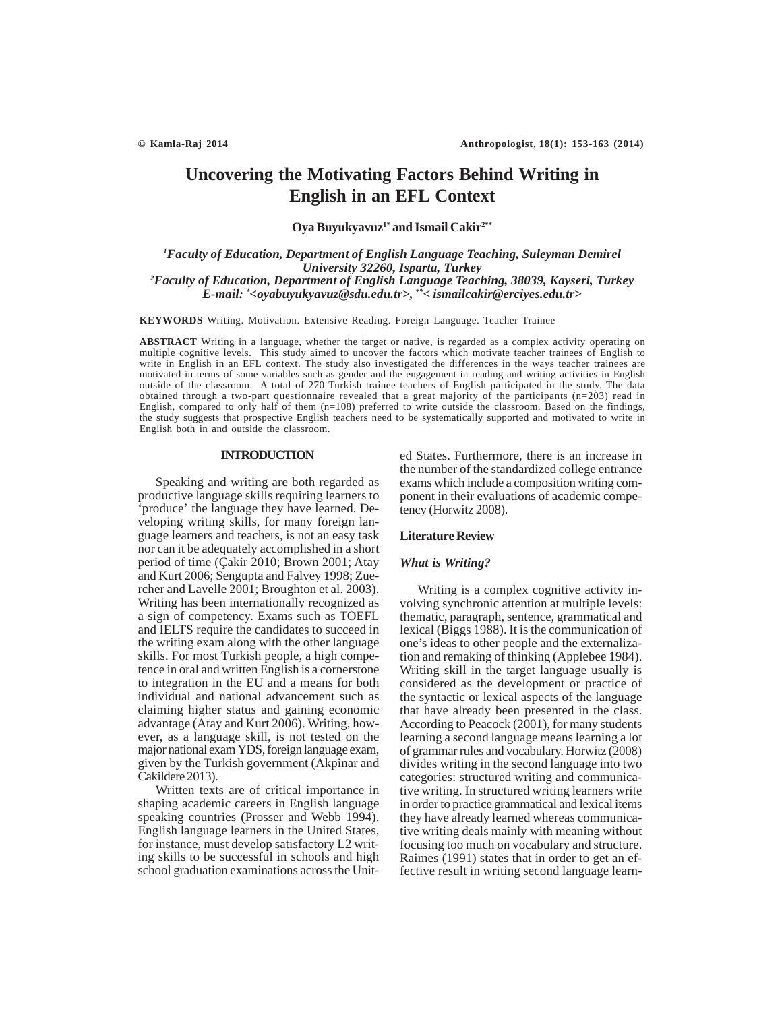# **Uncovering the Motivating Factors Behind Writing in English in an EFL Context**

# **Oya Buyukyavuz1\* and Ismail Cakir2\*\***

# *1 Faculty of Education, Department of English Language Teaching, Suleyman Demirel University 32260, Isparta, Turkey 2 Faculty of Education, Department of English Language Teaching, 38039, Kayseri, Turkey E-mail: \* <oyabuyukyavuz@sdu.edu.tr>, \*\*< ismailcakir@erciyes.edu.tr>*

**KEYWORDS** Writing. Motivation. Extensive Reading. Foreign Language. Teacher Trainee

**ABSTRACT** Writing in a language, whether the target or native, is regarded as a complex activity operating on multiple cognitive levels. This study aimed to uncover the factors which motivate teacher trainees of English to write in English in an EFL context. The study also investigated the differences in the ways teacher trainees are motivated in terms of some variables such as gender and the engagement in reading and writing activities in English outside of the classroom. A total of 270 Turkish trainee teachers of English participated in the study. The data obtained through a two-part questionnaire revealed that a great majority of the participants (n=203) read in English, compared to only half of them (n=108) preferred to write outside the classroom. Based on the findings, the study suggests that prospective English teachers need to be systematically supported and motivated to write in English both in and outside the classroom.

# **INTRODUCTION**

Speaking and writing are both regarded as productive language skills requiring learners to 'produce' the language they have learned. Developing writing skills, for many foreign language learners and teachers, is not an easy task nor can it be adequately accomplished in a short period of time (Çakir 2010; Brown 2001; Atay and Kurt 2006; Sengupta and Falvey 1998; Zuercher and Lavelle 2001; Broughton et al. 2003). Writing has been internationally recognized as a sign of competency. Exams such as TOEFL and IELTS require the candidates to succeed in the writing exam along with the other language skills. For most Turkish people, a high competence in oral and written English is a cornerstone to integration in the EU and a means for both individual and national advancement such as claiming higher status and gaining economic advantage (Atay and Kurt 2006). Writing, however, as a language skill, is not tested on the major national exam YDS, foreign language exam, given by the Turkish government (Akpinar and Cakildere 2013).

Written texts are of critical importance in shaping academic careers in English language speaking countries (Prosser and Webb 1994). English language learners in the United States, for instance, must develop satisfactory L2 writing skills to be successful in schools and high school graduation examinations across the United States. Furthermore, there is an increase in the number of the standardized college entrance exams which include a composition writing component in their evaluations of academic competency (Horwitz 2008).

## **Literature Review**

## *What is Writing?*

Writing is a complex cognitive activity involving synchronic attention at multiple levels: thematic, paragraph, sentence, grammatical and lexical (Biggs 1988). It is the communication of one's ideas to other people and the externalization and remaking of thinking (Applebee 1984). Writing skill in the target language usually is considered as the development or practice of the syntactic or lexical aspects of the language that have already been presented in the class. According to Peacock (2001), for many students learning a second language means learning a lot of grammar rules and vocabulary. Horwitz (2008) divides writing in the second language into two categories: structured writing and communicative writing. In structured writing learners write in order to practice grammatical and lexical items they have already learned whereas communicative writing deals mainly with meaning without focusing too much on vocabulary and structure. Raimes (1991) states that in order to get an effective result in writing second language learn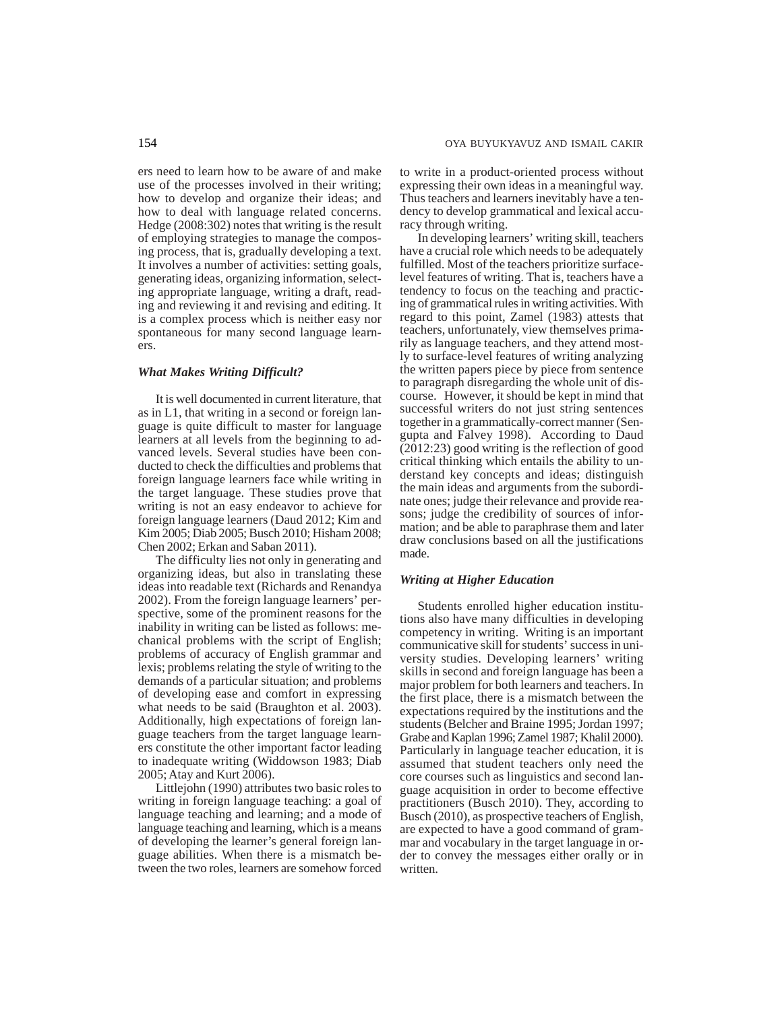ers need to learn how to be aware of and make use of the processes involved in their writing; how to develop and organize their ideas; and how to deal with language related concerns. Hedge (2008:302) notes that writing is the result of employing strategies to manage the composing process, that is, gradually developing a text. It involves a number of activities: setting goals, generating ideas, organizing information, selecting appropriate language, writing a draft, reading and reviewing it and revising and editing. It is a complex process which is neither easy nor spontaneous for many second language learners.

# *What Makes Writing Difficult?*

It is well documented in current literature, that as in L1, that writing in a second or foreign language is quite difficult to master for language learners at all levels from the beginning to advanced levels. Several studies have been conducted to check the difficulties and problems that foreign language learners face while writing in the target language. These studies prove that writing is not an easy endeavor to achieve for foreign language learners (Daud 2012; Kim and Kim 2005; Diab 2005; Busch 2010; Hisham 2008; Chen 2002; Erkan and Saban 2011).

The difficulty lies not only in generating and organizing ideas, but also in translating these ideas into readable text (Richards and Renandya 2002). From the foreign language learners' perspective, some of the prominent reasons for the inability in writing can be listed as follows: mechanical problems with the script of English; problems of accuracy of English grammar and lexis; problems relating the style of writing to the demands of a particular situation; and problems of developing ease and comfort in expressing what needs to be said (Braughton et al. 2003). Additionally, high expectations of foreign language teachers from the target language learners constitute the other important factor leading to inadequate writing (Widdowson 1983; Diab 2005; Atay and Kurt 2006).

Littlejohn (1990) attributes two basic roles to writing in foreign language teaching: a goal of language teaching and learning; and a mode of language teaching and learning, which is a means of developing the learner's general foreign language abilities. When there is a mismatch between the two roles, learners are somehow forced to write in a product-oriented process without expressing their own ideas in a meaningful way. Thus teachers and learners inevitably have a tendency to develop grammatical and lexical accuracy through writing.

In developing learners' writing skill, teachers have a crucial role which needs to be adequately fulfilled. Most of the teachers prioritize surfacelevel features of writing. That is, teachers have a tendency to focus on the teaching and practicing of grammatical rules in writing activities. With regard to this point, Zamel (1983) attests that teachers, unfortunately, view themselves primarily as language teachers, and they attend mostly to surface-level features of writing analyzing the written papers piece by piece from sentence to paragraph disregarding the whole unit of discourse. However, it should be kept in mind that successful writers do not just string sentences together in a grammatically-correct manner (Sengupta and Falvey 1998). According to Daud  $(2012:23)$  good writing is the reflection of good critical thinking which entails the ability to understand key concepts and ideas; distinguish the main ideas and arguments from the subordinate ones; judge their relevance and provide reasons; judge the credibility of sources of information; and be able to paraphrase them and later draw conclusions based on all the justifications made.

## *Writing at Higher Education*

Students enrolled higher education institutions also have many difficulties in developing competency in writing. Writing is an important communicative skill for students' success in university studies. Developing learners' writing skills in second and foreign language has been a major problem for both learners and teachers. In the first place, there is a mismatch between the expectations required by the institutions and the students (Belcher and Braine 1995; Jordan 1997; Grabe and Kaplan 1996; Zamel 1987; Khalil 2000). Particularly in language teacher education, it is assumed that student teachers only need the core courses such as linguistics and second language acquisition in order to become effective practitioners (Busch 2010). They, according to Busch (2010), as prospective teachers of English, are expected to have a good command of grammar and vocabulary in the target language in order to convey the messages either orally or in written.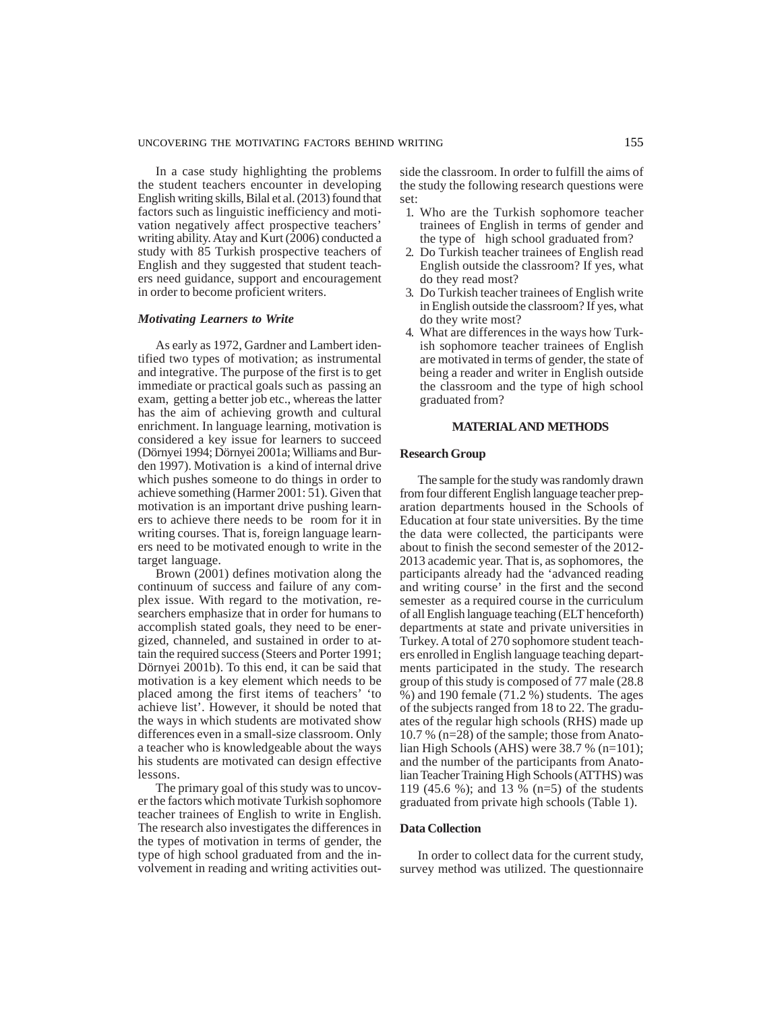## UNCOVERING THE MOTIVATING FACTORS BEHIND WRITING 155

In a case study highlighting the problems the student teachers encounter in developing English writing skills, Bilal et al. (2013) found that factors such as linguistic inefficiency and motivation negatively affect prospective teachers' writing ability. Atay and Kurt (2006) conducted a study with 85 Turkish prospective teachers of English and they suggested that student teachers need guidance, support and encouragement in order to become proficient writers.

## *Motivating Learners to Write*

As early as 1972, Gardner and Lambert identified two types of motivation; as instrumental and integrative. The purpose of the first is to get immediate or practical goals such as passing an exam, getting a better job etc., whereas the latter has the aim of achieving growth and cultural enrichment. In language learning, motivation is considered a key issue for learners to succeed (Dörnyei 1994; Dörnyei 2001a; Williams and Burden 1997). Motivation is a kind of internal drive which pushes someone to do things in order to achieve something (Harmer 2001: 51). Given that motivation is an important drive pushing learners to achieve there needs to be room for it in writing courses. That is, foreign language learners need to be motivated enough to write in the target language.

Brown (2001) defines motivation along the continuum of success and failure of any complex issue. With regard to the motivation, researchers emphasize that in order for humans to accomplish stated goals, they need to be energized, channeled, and sustained in order to attain the required success (Steers and Porter 1991; Dörnyei 2001b). To this end, it can be said that motivation is a key element which needs to be placed among the first items of teachers' 'to achieve list'. However, it should be noted that the ways in which students are motivated show differences even in a small-size classroom. Only a teacher who is knowledgeable about the ways his students are motivated can design effective lessons.

The primary goal of this study was to uncover the factors which motivate Turkish sophomore teacher trainees of English to write in English. The research also investigates the differences in the types of motivation in terms of gender, the type of high school graduated from and the involvement in reading and writing activities outside the classroom. In order to fulfill the aims of the study the following research questions were set:

- 1. Who are the Turkish sophomore teacher trainees of English in terms of gender and the type of high school graduated from?
- 2. Do Turkish teacher trainees of English read English outside the classroom? If yes, what do they read most?
- 3. Do Turkish teacher trainees of English write in English outside the classroom? If yes, what do they write most?
- 4. What are differences in the ways how Turkish sophomore teacher trainees of English are motivated in terms of gender, the state of being a reader and writer in English outside the classroom and the type of high school graduated from?

## **MATERIAL AND METHODS**

#### **Research Group**

The sample for the study was randomly drawn from four different English language teacher preparation departments housed in the Schools of Education at four state universities. By the time the data were collected, the participants were about to finish the second semester of the 2012- 2013 academic year. That is, as sophomores, the participants already had the 'advanced reading and writing course' in the first and the second semester as a required course in the curriculum of all English language teaching (ELT henceforth) departments at state and private universities in Turkey. A total of 270 sophomore student teachers enrolled in English language teaching departments participated in the study. The research group of this study is composed of 77 male (28.8 %) and 190 female (71.2 %) students. The ages of the subjects ranged from 18 to 22. The graduates of the regular high schools (RHS) made up 10.7 % (n=28) of the sample; those from Anatolian High Schools (AHS) were 38.7 % (n=101); and the number of the participants from Anatolian Teacher Training High Schools (ATTHS) was 119 (45.6 %); and 13 % (n=5) of the students graduated from private high schools (Table 1).

## **Data Collection**

In order to collect data for the current study, survey method was utilized. The questionnaire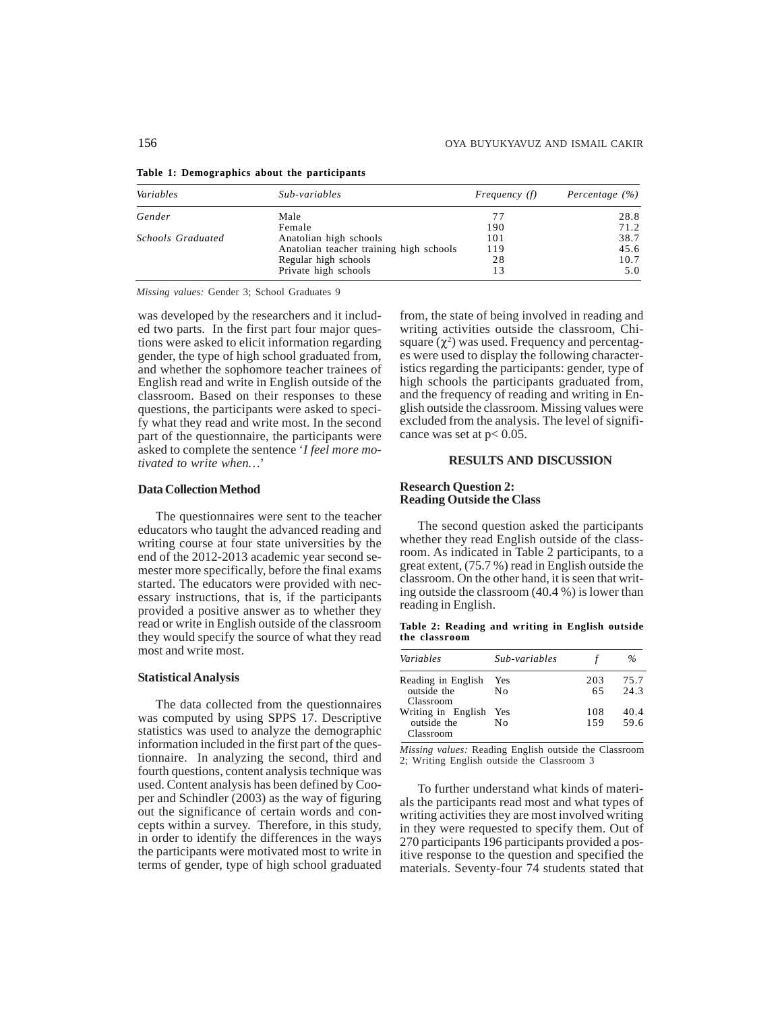| Variables                | Sub-variables                           | <i>Frequency</i> ( <i>f</i> ) | Percentage $(\% )$ |  |  |
|--------------------------|-----------------------------------------|-------------------------------|--------------------|--|--|
| Gender                   | Male                                    | 77                            | 28.8               |  |  |
|                          | Female                                  | 190                           | 71.2               |  |  |
| <i>Schools Graduated</i> | Anatolian high schools                  | 101                           | 38.7               |  |  |
|                          | Anatolian teacher training high schools | 119                           | 45.6               |  |  |
|                          | Regular high schools                    | 28                            | 10.7               |  |  |
|                          | Private high schools                    | 13                            | 5.0                |  |  |

**Table 1: Demographics about the participants**

*Missing values:* Gender 3; School Graduates 9

was developed by the researchers and it included two parts. In the first part four major questions were asked to elicit information regarding gender, the type of high school graduated from, and whether the sophomore teacher trainees of English read and write in English outside of the classroom. Based on their responses to these questions, the participants were asked to specify what they read and write most. In the second part of the questionnaire, the participants were asked to complete the sentence '*I feel more motivated to write when…*'

## **Data Collection Method**

The questionnaires were sent to the teacher educators who taught the advanced reading and writing course at four state universities by the end of the 2012-2013 academic year second semester more specifically, before the final exams started. The educators were provided with necessary instructions, that is, if the participants provided a positive answer as to whether they read or write in English outside of the classroom they would specify the source of what they read most and write most.

#### **Statistical Analysis**

The data collected from the questionnaires was computed by using SPPS 17. Descriptive statistics was used to analyze the demographic information included in the first part of the questionnaire. In analyzing the second, third and fourth questions, content analysis technique was used. Content analysis has been defined by Cooper and Schindler (2003) as the way of figuring out the significance of certain words and concepts within a survey. Therefore, in this study, in order to identify the differences in the ways the participants were motivated most to write in terms of gender, type of high school graduated from, the state of being involved in reading and writing activities outside the classroom, Chisquare  $(\chi^2)$  was used. Frequency and percentages were used to display the following characteristics regarding the participants: gender, type of high schools the participants graduated from, and the frequency of reading and writing in English outside the classroom. Missing values were excluded from the analysis. The level of significance was set at  $p < 0.05$ .

#### **RESULTS AND DISCUSSION**

## **Research Question 2: Reading Outside the Class**

The second question asked the participants whether they read English outside of the classroom. As indicated in Table 2 participants, to a great extent, (75.7 %) read in English outside the classroom. On the other hand, it is seen that writing outside the classroom (40.4 %) is lower than reading in English.

**Table 2: Reading and writing in English outside the classroom**

| Variables                | Sub-variables |     | $\%$ |
|--------------------------|---------------|-----|------|
| Reading in English       | Yes           | 203 | 75.7 |
| outside the<br>Classroom | Nο            | 65  | 24.3 |
| Writing in English       | Yes           | 108 | 40.4 |
| outside the<br>Classroom | Nο            | 159 | 59.6 |

*Missing values:* Reading English outside the Classroom 2; Writing English outside the Classroom 3

To further understand what kinds of materials the participants read most and what types of writing activities they are most involved writing in they were requested to specify them. Out of 270 participants 196 participants provided a positive response to the question and specified the materials. Seventy-four 74 students stated that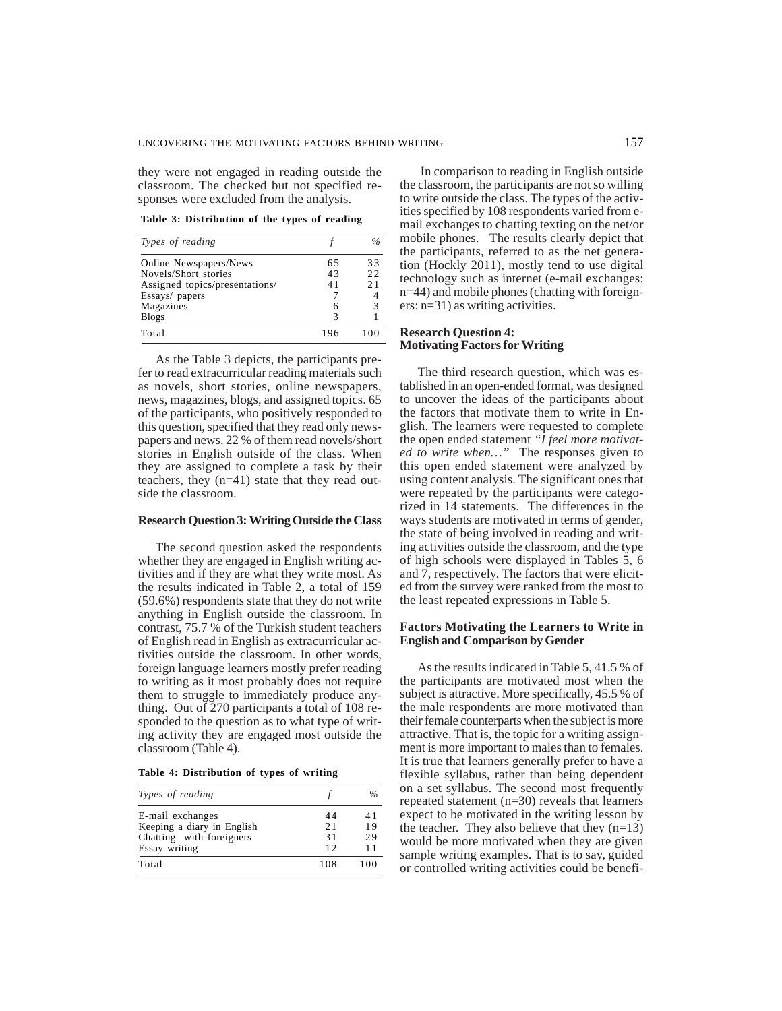they were not engaged in reading outside the classroom. The checked but not specified responses were excluded from the analysis.

**Table 3: Distribution of the types of reading**

| Types of reading               |     |      |
|--------------------------------|-----|------|
| Online Newspapers/News         | 65  | 33   |
| Novels/Short stories           | 43  | 2.2. |
| Assigned topics/presentations/ | 41  | 21   |
| Essays/ papers                 |     |      |
| Magazines                      |     |      |
| <b>Blogs</b>                   | 3   |      |
| Total                          | 196 | 100  |

As the Table 3 depicts, the participants prefer to read extracurricular reading materials such as novels, short stories, online newspapers, news, magazines, blogs, and assigned topics. 65 of the participants, who positively responded to this question, specified that they read only newspapers and news. 22 % of them read novels/short stories in English outside of the class. When they are assigned to complete a task by their teachers, they (n=41) state that they read outside the classroom.

#### **Research Question 3: Writing Outside the Class**

The second question asked the respondents whether they are engaged in English writing activities and if they are what they write most. As the results indicated in Table 2, a total of 159 (59.6%) respondents state that they do not write anything in English outside the classroom. In contrast, 75.7 % of the Turkish student teachers of English read in English as extracurricular activities outside the classroom. In other words, foreign language learners mostly prefer reading to writing as it most probably does not require them to struggle to immediately produce anything. Out of 270 participants a total of 108 responded to the question as to what type of writing activity they are engaged most outside the classroom (Table 4).

**Table 4: Distribution of types of writing**

| Types of reading           |     | $\%$ |
|----------------------------|-----|------|
| E-mail exchanges           | 44  | 41   |
| Keeping a diary in English | 2.1 | 19   |
| Chatting with foreigners   | 31  | 29   |
| Essay writing              | 12  | 11   |
| Total                      | 108 | 100  |

In comparison to reading in English outside the classroom, the participants are not so willing to write outside the class. The types of the activities specified by 108 respondents varied from email exchanges to chatting texting on the net/or mobile phones. The results clearly depict that the participants, referred to as the net generation (Hockly 2011), mostly tend to use digital technology such as internet (e-mail exchanges: n=44) and mobile phones (chatting with foreigners: n=31) as writing activities.

## **Research Question 4: Motivating Factors for Writing**

The third research question, which was established in an open-ended format, was designed to uncover the ideas of the participants about the factors that motivate them to write in English. The learners were requested to complete the open ended statement *"I feel more motivated to write when…"* The responses given to this open ended statement were analyzed by using content analysis. The significant ones that were repeated by the participants were categorized in 14 statements. The differences in the ways students are motivated in terms of gender, the state of being involved in reading and writing activities outside the classroom, and the type of high schools were displayed in Tables 5, 6 and 7, respectively. The factors that were elicited from the survey were ranked from the most to the least repeated expressions in Table 5.

# **Factors Motivating the Learners to Write in English and Comparison by Gender**

As the results indicated in Table 5, 41.5 % of the participants are motivated most when the subject is attractive. More specifically, 45.5 % of the male respondents are more motivated than their female counterparts when the subject is more attractive. That is, the topic for a writing assignment is more important to males than to females. It is true that learners generally prefer to have a flexible syllabus, rather than being dependent on a set syllabus. The second most frequently repeated statement (n=30) reveals that learners expect to be motivated in the writing lesson by the teacher. They also believe that they  $(n=13)$ would be more motivated when they are given sample writing examples. That is to say, guided or controlled writing activities could be benefi-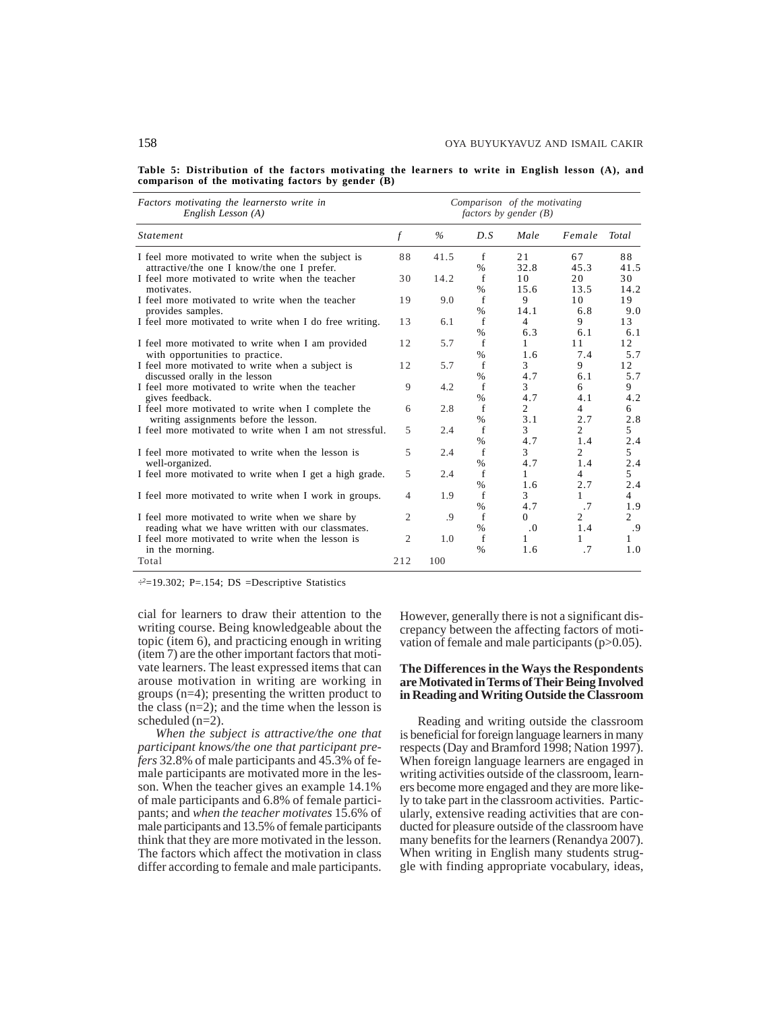|  | Table 5: Distribution of the factors motivating the learners to write in English lesson (A), and |  |  |  |  |  |  |
|--|--------------------------------------------------------------------------------------------------|--|--|--|--|--|--|
|  | comparison of the motivating factors by gender $(B)$                                             |  |  |  |  |  |  |

| Factors motivating the learnersto write in<br>English Lesson (A)                  | Comparison of the motivating<br>factors by gender $(B)$ |      |               |                |                |                |  |  |
|-----------------------------------------------------------------------------------|---------------------------------------------------------|------|---------------|----------------|----------------|----------------|--|--|
| <b>Statement</b>                                                                  | $\mathbf{f}$                                            | $\%$ | D.S           | Male           | Female         | Total          |  |  |
| I feel more motivated to write when the subject is                                | 88                                                      | 41.5 | $\mathbf f$   | 21             | 67             | 88             |  |  |
| attractive/the one I know/the one I prefer.                                       |                                                         |      | $\%$          | 32.8           | 45.3           | 41.5           |  |  |
| I feel more motivated to write when the teacher                                   | 30                                                      | 14.2 | $\mathbf{f}$  | 10             | 20             | 30             |  |  |
| motivates.                                                                        |                                                         |      | $\frac{0}{0}$ | 15.6           | 13.5           | 14.2           |  |  |
| I feel more motivated to write when the teacher                                   | 19                                                      | 9.0  | f             | 9              | 10             | 19             |  |  |
| provides samples.                                                                 |                                                         |      | %             | 14.1           | 6.8            | 9.0            |  |  |
| I feel more motivated to write when I do free writing.                            | 13                                                      | 6.1  | f             | $\overline{4}$ | 9              | 13             |  |  |
|                                                                                   |                                                         |      | %             | 6.3            | 6.1            | 6.1            |  |  |
| I feel more motivated to write when I am provided                                 | 12                                                      | 5.7  | f             | 1              | 11             | 12             |  |  |
| with opportunities to practice.                                                   |                                                         |      | $\frac{0}{0}$ | 1.6            | 7.4            | 5.7            |  |  |
| I feel more motivated to write when a subject is                                  | 12                                                      | 5.7  | f<br>$\%$     | 3<br>4.7       | 9<br>6.1       | 12<br>5.7      |  |  |
| discussed orally in the lesson<br>I feel more motivated to write when the teacher | 9                                                       | 4.2  | $\mathbf f$   |                |                | 9              |  |  |
| gives feedback.                                                                   |                                                         |      | $\%$          | 3<br>4.7       | 6<br>4.1       | 4.2            |  |  |
| I feel more motivated to write when I complete the                                | 6                                                       | 2.8  | f             | $\overline{c}$ | $\overline{4}$ | 6              |  |  |
| writing assignments before the lesson.                                            |                                                         |      | $\%$          | 3.1            | 2.7            | 2.8            |  |  |
| I feel more motivated to write when I am not stressful.                           | 5                                                       | 2.4  | $\mathbf f$   | 3              | 2              | 5              |  |  |
|                                                                                   |                                                         |      | $\%$          | 4.7            | 1.4            | 2.4            |  |  |
| I feel more motivated to write when the lesson is                                 | 5                                                       | 2.4  | f             | 3              | $\overline{2}$ | 5              |  |  |
| well-organized.                                                                   |                                                         |      | $\%$          | 4.7            | 1.4            | 2.4            |  |  |
| I feel more motivated to write when I get a high grade.                           | 5                                                       | 2.4  | f             | 1              | $\overline{4}$ | 5              |  |  |
|                                                                                   |                                                         |      | $\%$          | 1.6            | 2.7            | 2.4            |  |  |
| I feel more motivated to write when I work in groups.                             | 4                                                       | 1.9  | f             | 3              | 1              | $\overline{4}$ |  |  |
|                                                                                   |                                                         |      | $\%$          | 4.7            | .7             | 1.9            |  |  |
| I feel more motivated to write when we share by                                   | 2                                                       | .9   | f             | $\Omega$       | $\overline{2}$ | $\overline{2}$ |  |  |
| reading what we have written with our classmates.                                 |                                                         |      | $\%$          | $\cdot$        | 1.4            | .9             |  |  |
| I feel more motivated to write when the lesson is                                 | 2                                                       | 1.0  | $\mathsf{f}$  | 1              | 1              | 1              |  |  |
| in the morning.                                                                   |                                                         |      | %             | 1.6            | .7             | 1.0            |  |  |
| Total                                                                             | 212                                                     | 100  |               |                |                |                |  |  |

 $\div^2$ =19.302; P=.154; DS =Descriptive Statistics

cial for learners to draw their attention to the writing course. Being knowledgeable about the topic (item 6), and practicing enough in writing (item 7) are the other important factors that motivate learners. The least expressed items that can arouse motivation in writing are working in groups (n=4); presenting the written product to the class  $(n=2)$ ; and the time when the lesson is scheduled (n=2).

*When the subject is attractive/the one that participant knows/the one that participant prefers* 32.8% of male participants and 45.3% of female participants are motivated more in the lesson. When the teacher gives an example 14.1% of male participants and 6.8% of female participants; and *when the teacher motivates* 15.6% of male participants and 13.5% of female participants think that they are more motivated in the lesson. The factors which affect the motivation in class differ according to female and male participants. However, generally there is not a significant discrepancy between the affecting factors of motivation of female and male participants (p>0.05).

# **The Differences in the Ways the Respondents are Motivated in Terms of Their Being Involved in Reading and Writing Outside the Classroom**

Reading and writing outside the classroom is beneficial for foreign language learners in many respects (Day and Bramford 1998; Nation 1997). When foreign language learners are engaged in writing activities outside of the classroom, learners become more engaged and they are more likely to take part in the classroom activities. Particularly, extensive reading activities that are conducted for pleasure outside of the classroom have many benefits for the learners (Renandya 2007). When writing in English many students struggle with finding appropriate vocabulary, ideas,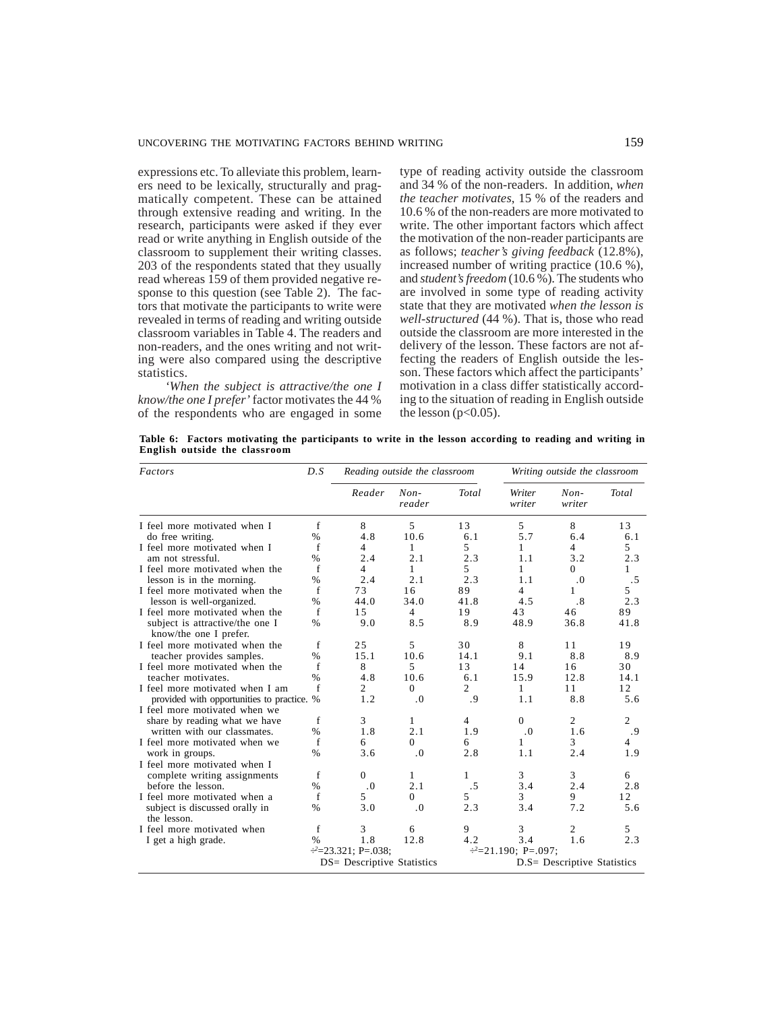expressions etc. To alleviate this problem, learners need to be lexically, structurally and pragmatically competent. These can be attained through extensive reading and writing. In the research, participants were asked if they ever read or write anything in English outside of the classroom to supplement their writing classes. 203 of the respondents stated that they usually read whereas 159 of them provided negative response to this question (see Table 2). The factors that motivate the participants to write were revealed in terms of reading and writing outside classroom variables in Table 4. The readers and non-readers, and the ones writing and not writing were also compared using the descriptive statistics.

*'When the subject is attractive/the one I know/the one I prefer'* factor motivates the 44 % of the respondents who are engaged in some type of reading activity outside the classroom and 34 % of the non-readers. In addition, *when the teacher motivates*, 15 % of the readers and 10.6 % of the non-readers are more motivated to write. The other important factors which affect the motivation of the non-reader participants are as follows; *teacher's giving feedback* (12.8%), increased number of writing practice (10.6 %), and *student's freedom* (10.6 %). The students who are involved in some type of reading activity state that they are motivated *when the lesson is well-structured* (44 %). That is, those who read outside the classroom are more interested in the delivery of the lesson. These factors are not affecting the readers of English outside the lesson. These factors which affect the participants' motivation in a class differ statistically according to the situation of reading in English outside the lesson ( $p<0.05$ ).

**Table 6: Factors motivating the participants to write in the lesson according to reading and writing in English outside the classroom**

| Factors                                                   | D.S           |                                   | Reading outside the classroom |                | Writing outside the classroom   |                             |                |  |
|-----------------------------------------------------------|---------------|-----------------------------------|-------------------------------|----------------|---------------------------------|-----------------------------|----------------|--|
|                                                           |               | Reader                            | $Non-$<br>reader              | Total          | Writer<br>writer                | $Non-$<br>writer            | Total          |  |
| I feel more motivated when I                              | f             | 8                                 | 5                             | 13             | 5                               | 8                           | 13             |  |
| do free writing.                                          | $\%$          | 4.8                               | 10.6                          | 6.1            | 5.7                             | 6.4                         | 6.1            |  |
| I feel more motivated when I                              | f             | 4                                 | 1                             | 5              | 1                               | 4                           | 5              |  |
| am not stressful.                                         | $\%$          | 2.4                               | 2.1                           | 2.3            | 1.1                             | 3.2                         | 2.3            |  |
| I feel more motivated when the                            | $\mathbf f$   | 4                                 | 1                             | 5              | $\mathbf{1}$                    | $\Omega$                    | 1              |  |
| lesson is in the morning.                                 | $\%$          | 2.4                               | 2.1                           | 2.3            | 1.1                             | $\cdot$ <sup>0</sup>        | .5             |  |
| I feel more motivated when the                            | f             | 73                                | 16                            | 89             | $\overline{4}$                  | 1                           | 5              |  |
| lesson is well-organized.                                 | $\%$          | 44.0                              | 34.0                          | 41.8           | 4.5                             | .8                          | 2.3            |  |
| I feel more motivated when the                            | f             | 15                                | $\overline{4}$                | 19             | 43                              | 46                          | 89             |  |
| subject is attractive/the one I<br>know/the one I prefer. | $\%$          | 9.0                               | 8.5                           | 8.9            | 48.9                            | 36.8                        | 41.8           |  |
| I feel more motivated when the                            | f             | 25                                | 5                             | 30             | 8                               | 11                          | 19             |  |
| teacher provides samples.                                 | $\%$          | 15.1                              | 10.6                          | 14.1           | 9.1                             | 8.8                         | 8.9            |  |
| I feel more motivated when the                            | f             | 8                                 | 5                             | 13             | 14                              | 16                          | 30             |  |
| teacher motivates.                                        | $\%$          | 4.8                               | 10.6                          | 6.1            | 15.9                            | 12.8                        | 14.1           |  |
| I feel more motivated when I am                           | $\mathbf f$   | $\overline{c}$                    | $\Omega$                      | $\overline{c}$ | 1                               | 11                          | 12             |  |
| provided with opportunities to practice. %                |               | 1.2                               | $\cdot$ <sup>0</sup>          | .9             | 1.1                             | 8.8                         | 5.6            |  |
| I feel more motivated when we                             |               |                                   |                               |                |                                 |                             |                |  |
| share by reading what we have                             | f             | 3                                 | 1                             | $\overline{4}$ | $\mathbf{0}$                    | 2                           | $\overline{c}$ |  |
| written with our classmates.                              | $\%$          | 1.8                               | 2.1                           | 1.9            | .0                              | 1.6                         | .9             |  |
| I feel more motivated when we                             | f             | 6                                 | $\Omega$                      | 6              | 1                               | 3                           | $\overline{4}$ |  |
| work in groups.                                           | $\%$          | 3.6                               | $\Omega$                      | 2.8            | 1.1                             | 2.4                         | 1.9            |  |
| I feel more motivated when I                              |               |                                   |                               |                |                                 |                             |                |  |
| complete writing assignments                              | f             | $\Omega$                          | 1                             | 1              | 3                               | 3                           | 6              |  |
| before the lesson.                                        | $\%$          | .0                                | 2.1                           | .5             | 3.4                             | 2.4                         | 2.8            |  |
| I feel more motivated when a                              | f             | 5                                 | $\Omega$                      | 5              | 3                               | 9                           | 12             |  |
| subject is discussed orally in<br>the lesson.             | $\%$          | 3.0                               | $\Omega$                      | 2.3            | 3.4                             | 7.2                         | 5.6            |  |
| I feel more motivated when                                | $\mathbf f$   | 3                                 | 6                             | 9              | 3                               | 2                           | 5              |  |
| I get a high grade.                                       | $\frac{0}{0}$ | 1.8<br>$\div 223.321$ ; P=.038;   | 12.8                          | 4.2            | 3.4<br>$-2$ = 21.190; P = .097; | 1.6                         | 2.3            |  |
|                                                           |               | <b>DS=</b> Descriptive Statistics |                               |                |                                 | D.S= Descriptive Statistics |                |  |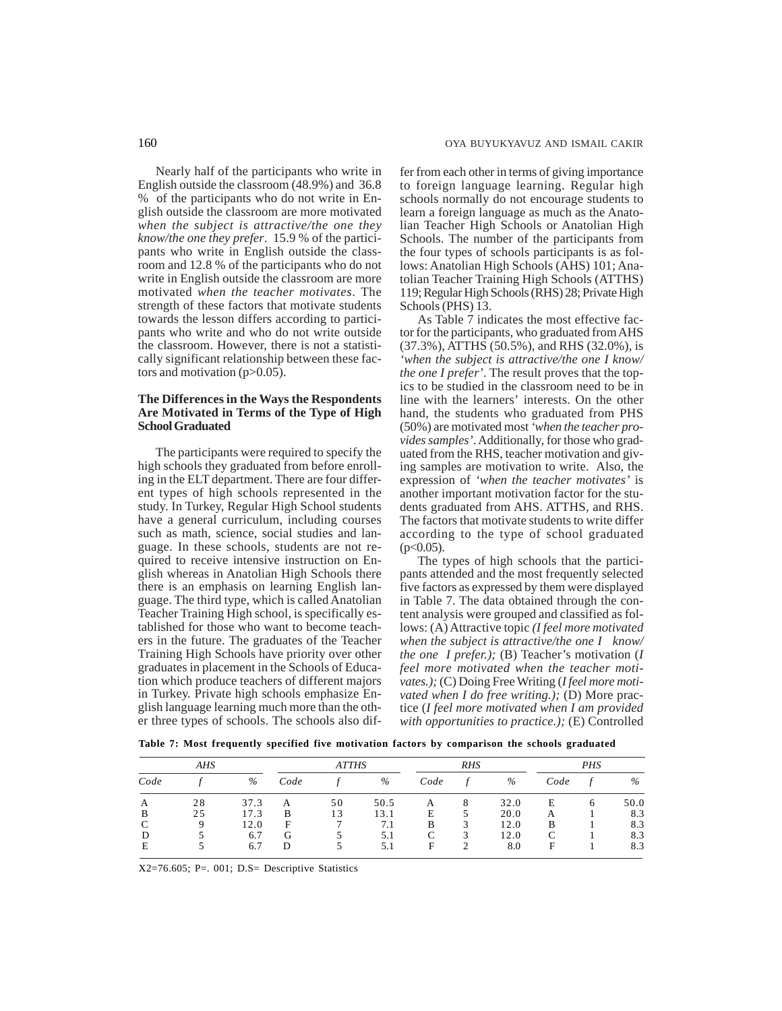Nearly half of the participants who write in English outside the classroom (48.9%) and 36.8 % of the participants who do not write in English outside the classroom are more motivated *when the subject is attractive/the one they know/the one they prefer*. 15.9 % of the participants who write in English outside the classroom and 12.8 % of the participants who do not write in English outside the classroom are more motivated *when the teacher motivates*. The strength of these factors that motivate students towards the lesson differs according to participants who write and who do not write outside the classroom. However, there is not a statistically significant relationship between these factors and motivation  $(p>0.05)$ .

# **The Differences in the Ways the Respondents Are Motivated in Terms of the Type of High School Graduated**

The participants were required to specify the high schools they graduated from before enrolling in the ELT department. There are four different types of high schools represented in the study. In Turkey, Regular High School students have a general curriculum, including courses such as math, science, social studies and language. In these schools, students are not required to receive intensive instruction on English whereas in Anatolian High Schools there there is an emphasis on learning English language. The third type, which is called Anatolian Teacher Training High school, is specifically established for those who want to become teachers in the future. The graduates of the Teacher Training High Schools have priority over other graduates in placement in the Schools of Education which produce teachers of different majors in Turkey. Private high schools emphasize English language learning much more than the other three types of schools. The schools also differ from each other in terms of giving importance to foreign language learning. Regular high schools normally do not encourage students to learn a foreign language as much as the Anatolian Teacher High Schools or Anatolian High Schools. The number of the participants from the four types of schools participants is as follows: Anatolian High Schools (AHS) 101; Anatolian Teacher Training High Schools (ATTHS) 119; Regular High Schools (RHS) 28; Private High Schools (PHS) 13.

As Table 7 indicates the most effective factor for the participants, who graduated from AHS (37.3%), ATTHS (50.5%), and RHS (32.0%), is *'when the subject is attractive/the one I know/ the one I prefer'*. The result proves that the topics to be studied in the classroom need to be in line with the learners' interests. On the other hand, the students who graduated from PHS (50%) are motivated most *'when the teacher provides samples'*. Additionally, for those who graduated from the RHS, teacher motivation and giving samples are motivation to write. Also, the expression of *'when the teacher motivates'* is another important motivation factor for the students graduated from AHS. ATTHS, and RHS. The factors that motivate students to write differ according to the type of school graduated  $(p<0.05)$ .

The types of high schools that the participants attended and the most frequently selected five factors as expressed by them were displayed in Table 7. The data obtained through the content analysis were grouped and classified as follows: (A) Attractive topic *(I feel more motivated when the subject is attractive/the one I know/ the one I prefer.);* (B) Teacher's motivation (*I feel more motivated when the teacher motivates.);* (C) Doing Free Writing (*I feel more motivated when I do free writing.);* (D) More practice (*I feel more motivated when I am provided with opportunities to practice.);* (E) Controlled

**Table 7: Most frequently specified five motivation factors by comparison the schools graduated**

| AHS  |    |      | <b>ATTHS</b> |    |               |      | <b>RHS</b> |      | <b>PHS</b> |   |      |
|------|----|------|--------------|----|---------------|------|------------|------|------------|---|------|
| Code |    | $\%$ | Code         |    | $\frac{0}{0}$ | Code |            | $\%$ | Code       |   | $\%$ |
| А    | 28 | 37.3 | A            | 50 | 50.5          | А    | 8          | 32.0 | E          | 6 | 50.0 |
| B    | 25 | 17.3 | B            | 13 | 13.1          | E    |            | 20.0 | А          |   | 8.3  |
| C    |    | 12.0 | F            |    | 7.1           | B    | 3          | 12.0 | B          |   | 8.3  |
| D    |    | 6.7  | G            |    | 5.1           |      | 3          | 12.0 |            |   | 8.3  |
| E    |    | 6.7  | D            |    | 5.1           | F    | 2          | 8.0  | Е          |   | 8.3  |

X2=76.605; P=. 001; D.S= Descriptive Statistics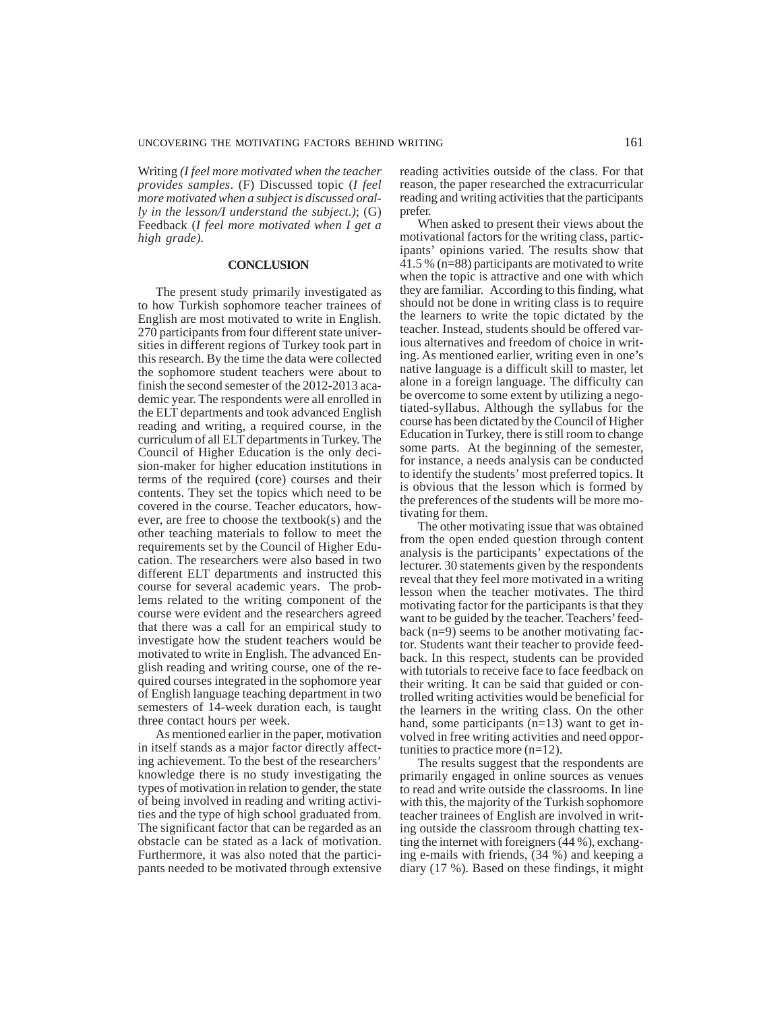Writing *(I feel more motivated when the teacher provides samples*. (F) Discussed topic (*I feel more motivated when a subject is discussed orally in the lesson/I understand the subject*.*)*; (G) Feedback (*I feel more motivated when I get a high grade).*

## **CONCLUSION**

The present study primarily investigated as to how Turkish sophomore teacher trainees of English are most motivated to write in English. 270 participants from four different state universities in different regions of Turkey took part in this research. By the time the data were collected the sophomore student teachers were about to finish the second semester of the 2012-2013 academic year. The respondents were all enrolled in the ELT departments and took advanced English reading and writing, a required course, in the curriculum of all ELT departments in Turkey. The Council of Higher Education is the only decision-maker for higher education institutions in terms of the required (core) courses and their contents. They set the topics which need to be covered in the course. Teacher educators, however, are free to choose the textbook(s) and the other teaching materials to follow to meet the requirements set by the Council of Higher Education. The researchers were also based in two different ELT departments and instructed this course for several academic years. The problems related to the writing component of the course were evident and the researchers agreed that there was a call for an empirical study to investigate how the student teachers would be motivated to write in English. The advanced English reading and writing course, one of the required courses integrated in the sophomore year of English language teaching department in two semesters of 14-week duration each, is taught three contact hours per week.

As mentioned earlier in the paper, motivation in itself stands as a major factor directly affecting achievement. To the best of the researchers' knowledge there is no study investigating the types of motivation in relation to gender, the state of being involved in reading and writing activities and the type of high school graduated from. The significant factor that can be regarded as an obstacle can be stated as a lack of motivation. Furthermore, it was also noted that the participants needed to be motivated through extensive reading activities outside of the class. For that reason, the paper researched the extracurricular reading and writing activities that the participants prefer.

When asked to present their views about the motivational factors for the writing class, participants' opinions varied. The results show that 41.5 % (n=88) participants are motivated to write when the topic is attractive and one with which they are familiar. According to this finding, what should not be done in writing class is to require the learners to write the topic dictated by the teacher. Instead, students should be offered various alternatives and freedom of choice in writing. As mentioned earlier, writing even in one's native language is a difficult skill to master, let alone in a foreign language. The difficulty can be overcome to some extent by utilizing a negotiated-syllabus. Although the syllabus for the course has been dictated by the Council of Higher Education in Turkey, there is still room to change some parts. At the beginning of the semester, for instance, a needs analysis can be conducted to identify the students' most preferred topics. It is obvious that the lesson which is formed by the preferences of the students will be more motivating for them.

The other motivating issue that was obtained from the open ended question through content analysis is the participants' expectations of the lecturer. 30 statements given by the respondents reveal that they feel more motivated in a writing lesson when the teacher motivates. The third motivating factor for the participants is that they want to be guided by the teacher. Teachers' feedback (n=9) seems to be another motivating factor. Students want their teacher to provide feedback. In this respect, students can be provided with tutorials to receive face to face feedback on their writing. It can be said that guided or controlled writing activities would be beneficial for the learners in the writing class. On the other hand, some participants (n=13) want to get involved in free writing activities and need opportunities to practice more (n=12).

The results suggest that the respondents are primarily engaged in online sources as venues to read and write outside the classrooms. In line with this, the majority of the Turkish sophomore teacher trainees of English are involved in writing outside the classroom through chatting texting the internet with foreigners (44 %), exchanging e-mails with friends, (34 %) and keeping a diary (17 %). Based on these findings, it might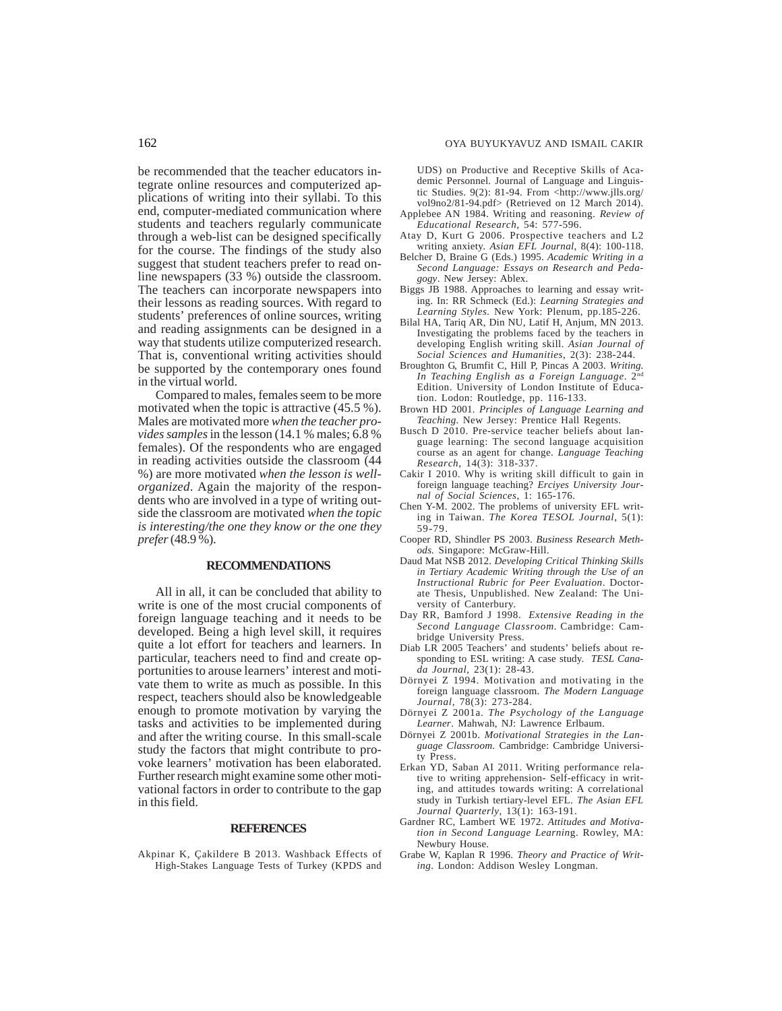be recommended that the teacher educators integrate online resources and computerized applications of writing into their syllabi. To this end, computer-mediated communication where students and teachers regularly communicate through a web-list can be designed specifically for the course. The findings of the study also suggest that student teachers prefer to read on-

line newspapers (33 %) outside the classroom. The teachers can incorporate newspapers into their lessons as reading sources. With regard to students' preferences of online sources, writing and reading assignments can be designed in a way that students utilize computerized research. That is, conventional writing activities should be supported by the contemporary ones found in the virtual world.

Compared to males, females seem to be more motivated when the topic is attractive (45.5 %). Males are motivated more *when the teacher provides samples* in the lesson (14.1 % males; 6.8 % females). Of the respondents who are engaged in reading activities outside the classroom (44 %) are more motivated *when the lesson is wellorganized*. Again the majority of the respondents who are involved in a type of writing outside the classroom are motivated *when the topic is interesting/the one they know or the one they prefer* (48.9 %).

#### **RECOMMENDATIONS**

All in all, it can be concluded that ability to write is one of the most crucial components of foreign language teaching and it needs to be developed. Being a high level skill, it requires quite a lot effort for teachers and learners. In particular, teachers need to find and create opportunities to arouse learners' interest and motivate them to write as much as possible. In this respect, teachers should also be knowledgeable enough to promote motivation by varying the tasks and activities to be implemented during and after the writing course. In this small-scale study the factors that might contribute to provoke learners' motivation has been elaborated. Further research might examine some other motivational factors in order to contribute to the gap in this field.

#### **REFERENCES**

Akpinar K, Çakildere B 2013. Washback Effects of High-Stakes Language Tests of Turkey (KPDS and UDS) on Productive and Receptive Skills of Academic Personnel. Journal of Language and Linguistic Studies. 9(2): 81-94. From  $\langle$ http://www.jlls.org/ vol9no2/81-94.pdf> (Retrieved on 12 March 2014).

- Applebee AN 1984. Writing and reasoning. *Review of Educational Research,* 54: 577-596.
- Atay D, Kurt G 2006. Prospective teachers and L2 writing anxiety. *Asian EFL Journal*, 8(4): 100-118.
- Belcher D, Braine G (Eds.) 1995. *Academic Writing in a Second Language: Essays on Research and Pedagogy*. New Jersey: Ablex.
- Biggs JB 1988. Approaches to learning and essay writing. In: RR Schmeck (Ed.): *Learning Strategies and Learning Styles.* New York: Plenum, pp.185-226.
- Bilal HA, Tariq AR, Din NU, Latif H, Anjum, MN 2013. Investigating the problems faced by the teachers in developing English writing skill. *Asian Journal of Social Sciences and Humanities*, 2(3): 238-244.
- Broughton G, Brumfit C, Hill P, Pincas A 2003. *Writing.* In Teaching English as a Foreign Language. 2<sup>1</sup> Edition. University of London Institute of Education. Lodon: Routledge, pp. 116-133.
- Brown HD 2001. *Principles of Language Learning and Teaching*. New Jersey: Prentice Hall Regents.
- Busch D 2010. Pre-service teacher beliefs about language learning: The second language acquisition course as an agent for change. *Language Teaching Research*, 14(3): 318-337.
- Cakir I 2010. Why is writing skill difficult to gain in foreign language teaching? *Erciyes University Journal of Social Sciences*, 1: 165-176.
- Chen Y-M. 2002. The problems of university EFL writing in Taiwan. *The Korea TESOL Journal*, 5(1): 59-79.
- Cooper RD, Shindler PS 2003. *Business Research Methods.* Singapore: McGraw-Hill.
- Daud Mat NSB 2012. *Developing Critical Thinking Skills in Tertiary Academic Writing through the Use of an Instructional Rubric for Peer Evaluation*. Doctorate Thesis, Unpublished. New Zealand: The University of Canterbury.
- Day RR, Bamford J 1998. *Extensive Reading in the Second Language Classroom.* Cambridge: Cambridge University Press.
- Diab LR 2005 Teachers' and students' beliefs about responding to ESL writing: A case study. *TESL Canada Journal,* 23(1): 28-43.
- Dörnyei Z 1994. Motivation and motivating in the foreign language classroom. *The Modern Language Journal*, 78(3): 273-284.
- Dörnyei Z 2001a. *The Psychology of the Language Learner*. Mahwah, NJ: Lawrence Erlbaum.
- Dörnyei Z 2001b. *Motivational Strategies in the Language Classroom.* Cambridge: Cambridge University Press.
- Erkan YD, Saban AI 2011. Writing performance relative to writing apprehension- Self-efficacy in writing, and attitudes towards writing: A correlational study in Turkish tertiary-level EFL. *The Asian EFL Journal Quarterly*, 13(1): 163-191.
- Gardner RC, Lambert WE 1972. *Attitudes and Motivation in Second Language Learnin*g. Rowley, MA: Newbury House.
- Grabe W, Kaplan R 1996. *Theory and Practice of Writing*. London: Addison Wesley Longman.